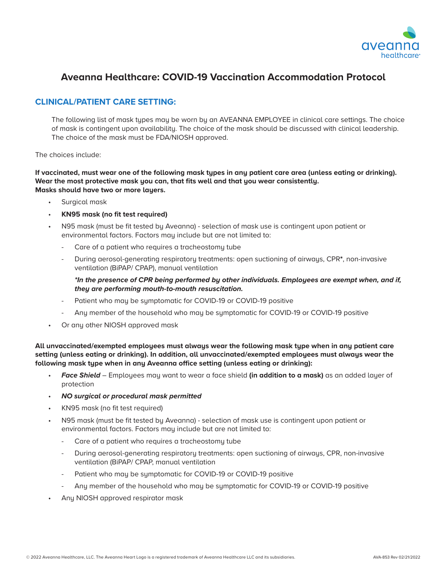

## **Aveanna Healthcare: COVID-19 Vaccination Accommodation Protocol**

## **CLINICAL/PATIENT CARE SETTING:**

The following list of mask types may be worn by an AVEANNA EMPLOYEE in clinical care settings. The choice of mask is contingent upon availability. The choice of the mask should be discussed with clinical leadership. The choice of the mask must be FDA/NIOSH approved.

## The choices include:

**If vaccinated, must wear one of the following mask types in any patient care area (unless eating or drinking). Wear the most protective mask you can, that fits well and that you wear consistently. Masks should have two or more layers.**

- Surgical mask
- **KN95 mask (no fit test required)**
- N95 mask (must be fit tested by Aveanna) selection of mask use is contingent upon patient or environmental factors. Factors may include but are not limited to:
	- Care of a patient who requires a tracheostomu tube
	- During aerosol-generating respiratory treatments: open suctioning of airways, CPR**\***, non-invasive ventilation (BiPAP/ CPAP), manual ventilation

*\*In the presence of CPR being performed by other individuals. Employees are exempt when, and if, they are performing mouth-to-mouth resuscitation.*

- Patient who may be symptomatic for COVID-19 or COVID-19 positive
- Any member of the household who may be symptomatic for COVID-19 or COVID-19 positive
- Or any other NIOSH approved mask

**All unvaccinated/exempted employees must always wear the following mask type when in any patient care setting (unless eating or drinking). In addition, all unvaccinated/exempted employees must always wear the following mask type when in any Aveanna office setting (unless eating or drinking):** 

- *Face Shield* Employees may want to wear a face shield **(in addition to a mask)** as an added layer of protection
- *NO surgical or procedural mask permitted*
- KN95 mask (no fit test required)
- N95 mask (must be fit tested by Aveanna) selection of mask use is contingent upon patient or environmental factors. Factors may include but are not limited to:
	- Care of a patient who requires a tracheostomy tube
	- During aerosol-generating respiratory treatments: open suctioning of airways, CPR, non-invasive ventilation (BiPAP/ CPAP, manual ventilation
	- Patient who may be symptomatic for COVID-19 or COVID-19 positive
	- Any member of the household who may be symptomatic for COVID-19 or COVID-19 positive
- Any NIOSH approved respirator mask